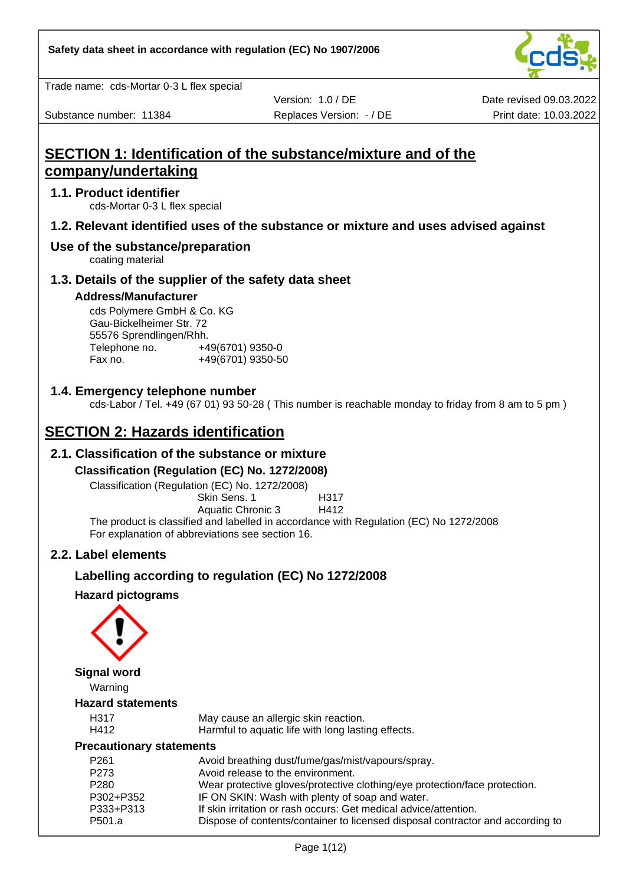

Trade name: cds-Mortar 0-3 L flex special

Substance number: 11384 **Replaces Version: - / DE** Print date: 10.03.2022

Version: 1.0 / DE

Date revised 09.03.2022

# **SECTION 1: Identification of the substance/mixture and of the company/undertaking**

## **1.1. Product identifier**

cds-Mortar 0-3 L flex special

# **1.2. Relevant identified uses of the substance or mixture and uses advised against**

#### **Use of the substance/preparation**

coating material

#### **1.3. Details of the supplier of the safety data sheet**

#### **Address/Manufacturer**

cds Polymere GmbH & Co. KG Gau-Bickelheimer Str. 72 55576 Sprendlingen/Rhh. Telephone no. +49(6701) 9350-0 Fax no. +49(6701) 9350-50

#### **1.4. Emergency telephone number**

cds-Labor / Tel. +49 (67 01) 93 50-28 ( This number is reachable monday to friday from 8 am to 5 pm )

# **SECTION 2: Hazards identification**

## **2.1. Classification of the substance or mixture**

#### **Classification (Regulation (EC) No. 1272/2008)**

Classification (Regulation (EC) No. 1272/2008)

Skin Sens. 1 H317 Aquatic Chronic 3 H412

The product is classified and labelled in accordance with Regulation (EC) No 1272/2008 For explanation of abbreviations see section 16.

## **2.2. Label elements**

## **Labelling according to regulation (EC) No 1272/2008**

#### **Hazard pictograms**



**Signal word**

Warning

#### **Hazard statements**

| H31  |  |
|------|--|
| H412 |  |

May cause an allergic skin reaction.

Harmful to aquatic life with long lasting effects.

#### **Precautionary statements**

| P <sub>261</sub> | Avoid breathing dust/fume/gas/mist/vapours/spray.                              |
|------------------|--------------------------------------------------------------------------------|
| P273             | Avoid release to the environment.                                              |
| P <sub>280</sub> | Wear protective gloves/protective clothing/eye protection/face protection.     |
| P302+P352        | IF ON SKIN: Wash with plenty of soap and water.                                |
| P333+P313        | If skin irritation or rash occurs: Get medical advice/attention.               |
| P501.a           | Dispose of contents/container to licensed disposal contractor and according to |
|                  |                                                                                |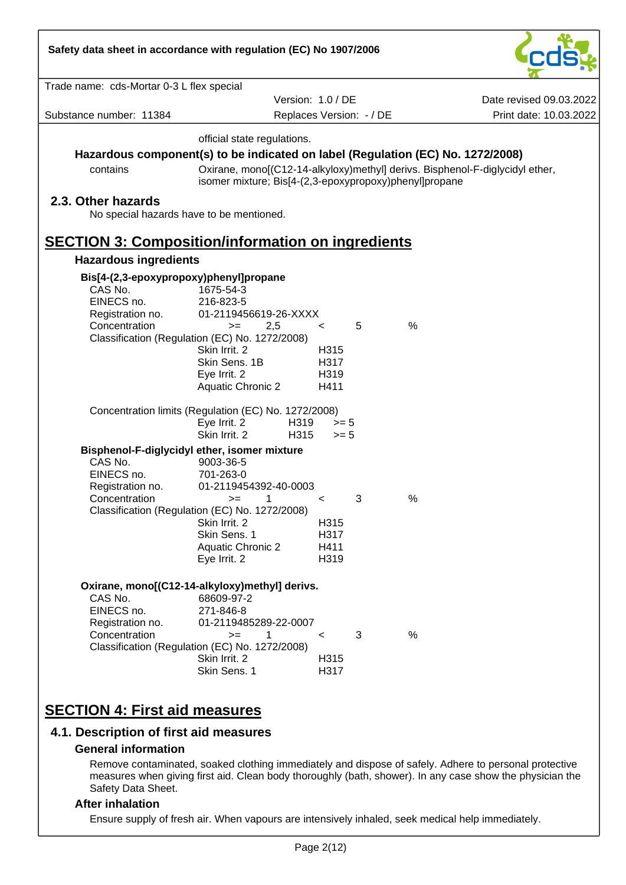| Safety data sheet in accordance with regulation (EC) No 1907/2006 |                                                                                 |              |                          |                                                                              |
|-------------------------------------------------------------------|---------------------------------------------------------------------------------|--------------|--------------------------|------------------------------------------------------------------------------|
| Trade name: cds-Mortar 0-3 L flex special                         |                                                                                 |              |                          |                                                                              |
|                                                                   | Version: 1.0 / DE                                                               |              |                          | Date revised 09.03.2022                                                      |
| Substance number: 11384                                           |                                                                                 |              | Replaces Version: - / DE | Print date: 10.03.2022                                                       |
|                                                                   | official state regulations.                                                     |              |                          |                                                                              |
|                                                                   | Hazardous component(s) to be indicated on label (Regulation (EC) No. 1272/2008) |              |                          |                                                                              |
| contains                                                          | isomer mixture; Bis[4-(2,3-epoxypropoxy)phenyl]propane                          |              |                          | Oxirane, mono[(C12-14-alkyloxy)methyl] derivs. Bisphenol-F-diglycidyl ether, |
| 2.3. Other hazards<br>No special hazards have to be mentioned.    |                                                                                 |              |                          |                                                                              |
| <b>SECTION 3: Composition/information on ingredients</b>          |                                                                                 |              |                          |                                                                              |
| <b>Hazardous ingredients</b>                                      |                                                                                 |              |                          |                                                                              |
|                                                                   |                                                                                 |              |                          |                                                                              |
| Bis[4-(2,3-epoxypropoxy)phenyl]propane<br>CAS No.                 | 1675-54-3                                                                       |              |                          |                                                                              |
| EINECS no.                                                        | 216-823-5                                                                       |              |                          |                                                                              |
| Registration no.                                                  | 01-2119456619-26-XXXX                                                           |              |                          |                                                                              |
| Concentration                                                     | 2,5<br>$>=$                                                                     | $\lt$        | 5                        | $\frac{0}{0}$                                                                |
|                                                                   | Classification (Regulation (EC) No. 1272/2008)<br>Skin Irrit. 2                 | H315         |                          |                                                                              |
|                                                                   | Skin Sens. 1B                                                                   | H317         |                          |                                                                              |
|                                                                   | Eye Irrit. 2                                                                    | H319         |                          |                                                                              |
|                                                                   | <b>Aquatic Chronic 2</b>                                                        | H411         |                          |                                                                              |
|                                                                   | Concentration limits (Regulation (EC) No. 1272/2008)                            |              |                          |                                                                              |
|                                                                   | Eye Irrit. 2<br>H319                                                            | $>= 5$       |                          |                                                                              |
|                                                                   | Skin Irrit. 2<br>H315                                                           | $>= 5$       |                          |                                                                              |
|                                                                   | Bisphenol-F-diglycidyl ether, isomer mixture                                    |              |                          |                                                                              |
| CAS No.                                                           | 9003-36-5                                                                       |              |                          |                                                                              |
| EINECS no.<br>Registration no.                                    | 701-263-0<br>01-2119454392-40-0003                                              |              |                          |                                                                              |
| Concentration                                                     | 1<br>$>=$                                                                       | $\prec$      | 3                        | %                                                                            |
|                                                                   | Classification (Regulation (EC) No. 1272/2008)                                  |              |                          |                                                                              |
|                                                                   | Skin Irrit. 2                                                                   | H315         |                          |                                                                              |
|                                                                   | Skin Sens. 1                                                                    | H317         |                          |                                                                              |
|                                                                   | <b>Aquatic Chronic 2</b>                                                        | H411<br>H319 |                          |                                                                              |
|                                                                   | Eye Irrit. 2                                                                    |              |                          |                                                                              |
|                                                                   | Oxirane, mono[(C12-14-alkyloxy)methyl] derivs.                                  |              |                          |                                                                              |
| CAS No.                                                           | 68609-97-2                                                                      |              |                          |                                                                              |
| EINECS no.                                                        | 271-846-8                                                                       |              |                          |                                                                              |
| Registration no.                                                  | 01-2119485289-22-0007<br>1                                                      |              |                          | %                                                                            |
| Concentration                                                     | $>=$<br>Classification (Regulation (EC) No. 1272/2008)                          | $\,<\,$      | 3                        |                                                                              |
|                                                                   | Skin Irrit. 2                                                                   | H315         |                          |                                                                              |
|                                                                   | Skin Sens. 1                                                                    | H317         |                          |                                                                              |
|                                                                   |                                                                                 |              |                          |                                                                              |
| <b>SECTION 4: First aid measures</b>                              |                                                                                 |              |                          |                                                                              |

 $\overline{\phantom{a}}$ 

# **4.1. Description of first aid measures**

#### **General information**

Remove contaminated, soaked clothing immediately and dispose of safely. Adhere to personal protective measures when giving first aid. Clean body thoroughly (bath, shower). In any case show the physician the Safety Data Sheet.

# **After inhalation**

Ensure supply of fresh air. When vapours are intensively inhaled, seek medical help immediately.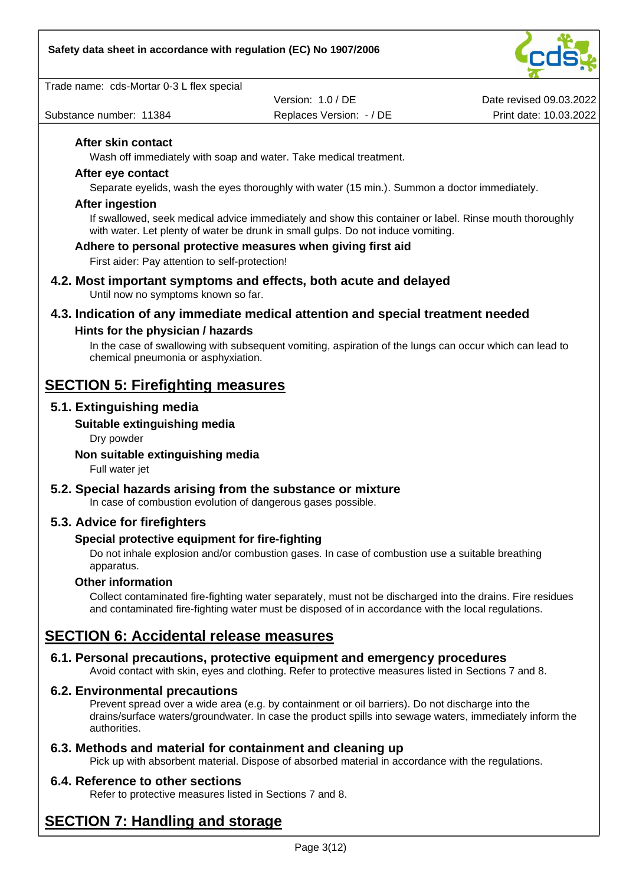

Trade name: cds-Mortar 0-3 L flex special

Version: 1.0 / DE

Date revised 09.03.2022 Substance number: 11384 **Replaces Version: - / DE** Print date: 10.03.2022

#### **After skin contact**

Wash off immediately with soap and water. Take medical treatment.

#### **After eye contact**

Separate eyelids, wash the eyes thoroughly with water (15 min.). Summon a doctor immediately.

#### **After ingestion**

If swallowed, seek medical advice immediately and show this container or label. Rinse mouth thoroughly with water. Let plenty of water be drunk in small gulps. Do not induce vomiting.

#### **Adhere to personal protective measures when giving first aid**

First aider: Pay attention to self-protection!

**4.2. Most important symptoms and effects, both acute and delayed** Until now no symptoms known so far.

# **4.3. Indication of any immediate medical attention and special treatment needed**

#### **Hints for the physician / hazards**

In the case of swallowing with subsequent vomiting, aspiration of the lungs can occur which can lead to chemical pneumonia or asphyxiation.

# **SECTION 5: Firefighting measures**

#### **5.1. Extinguishing media**

#### **Suitable extinguishing media**

Dry powder

#### **Non suitable extinguishing media**

Full water jet

## **5.2. Special hazards arising from the substance or mixture**

In case of combustion evolution of dangerous gases possible.

## **5.3. Advice for firefighters**

#### **Special protective equipment for fire-fighting**

Do not inhale explosion and/or combustion gases. In case of combustion use a suitable breathing apparatus.

#### **Other information**

Collect contaminated fire-fighting water separately, must not be discharged into the drains. Fire residues and contaminated fire-fighting water must be disposed of in accordance with the local regulations.

# **SECTION 6: Accidental release measures**

## **6.1. Personal precautions, protective equipment and emergency procedures**

Avoid contact with skin, eyes and clothing. Refer to protective measures listed in Sections 7 and 8.

#### **6.2. Environmental precautions**

Prevent spread over a wide area (e.g. by containment or oil barriers). Do not discharge into the drains/surface waters/groundwater. In case the product spills into sewage waters, immediately inform the authorities.

#### **6.3. Methods and material for containment and cleaning up**

Pick up with absorbent material. Dispose of absorbed material in accordance with the regulations.

## **6.4. Reference to other sections**

Refer to protective measures listed in Sections 7 and 8.

# **SECTION 7: Handling and storage**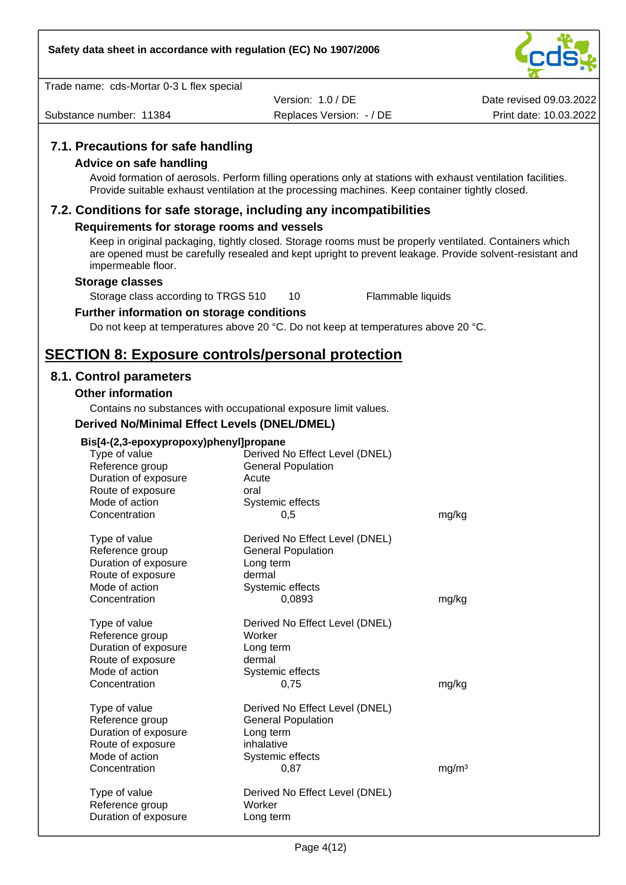

|  |  | Trade name: cds-Mortar 0-3 L flex special |
|--|--|-------------------------------------------|
|--|--|-------------------------------------------|

Substance number: 11384 **Replaces Version: - / DE** Print date: 10.03.2022 Version: 1.0 / DE

Date revised 09.03.2022

# **7.1. Precautions for safe handling**

#### **Advice on safe handling**

Avoid formation of aerosols. Perform filling operations only at stations with exhaust ventilation facilities. Provide suitable exhaust ventilation at the processing machines. Keep container tightly closed.

#### **7.2. Conditions for safe storage, including any incompatibilities**

#### **Requirements for storage rooms and vessels**

Keep in original packaging, tightly closed. Storage rooms must be properly ventilated. Containers which are opened must be carefully resealed and kept upright to prevent leakage. Provide solvent-resistant and impermeable floor.

#### **Storage classes**

Storage class according to TRGS 510 10 Flammable liquids

#### **Further information on storage conditions**

Do not keep at temperatures above 20 °C. Do not keep at temperatures above 20 °C.

# **SECTION 8: Exposure controls/personal protection**

#### **8.1. Control parameters**

#### **Other information**

Contains no substances with occupational exposure limit values.

#### **Derived No/Minimal Effect Levels (DNEL/DMEL)**

| Bis[4-(2,3-epoxypropoxy)phenyl]propane<br>Type of value<br>Reference group<br>Duration of exposure<br>Route of exposure<br>Mode of action<br>Concentration | Derived No Effect Level (DNEL)<br><b>General Population</b><br>Acute<br>oral<br>Systemic effects<br>0,5            | mg/kg             |
|------------------------------------------------------------------------------------------------------------------------------------------------------------|--------------------------------------------------------------------------------------------------------------------|-------------------|
| Type of value<br>Reference group<br>Duration of exposure<br>Route of exposure<br>Mode of action<br>Concentration                                           | Derived No Effect Level (DNEL)<br><b>General Population</b><br>Long term<br>dermal<br>Systemic effects<br>0,0893   | mg/kg             |
| Type of value<br>Reference group<br>Duration of exposure<br>Route of exposure<br>Mode of action<br>Concentration                                           | Derived No Effect Level (DNEL)<br>Worker<br>Long term<br>dermal<br>Systemic effects<br>0,75                        | mg/kg             |
| Type of value<br>Reference group<br>Duration of exposure<br>Route of exposure<br>Mode of action<br>Concentration                                           | Derived No Effect Level (DNEL)<br><b>General Population</b><br>Long term<br>inhalative<br>Systemic effects<br>0,87 | mg/m <sup>3</sup> |
| Type of value<br>Reference group<br>Duration of exposure                                                                                                   | Derived No Effect Level (DNEL)<br>Worker<br>Long term                                                              |                   |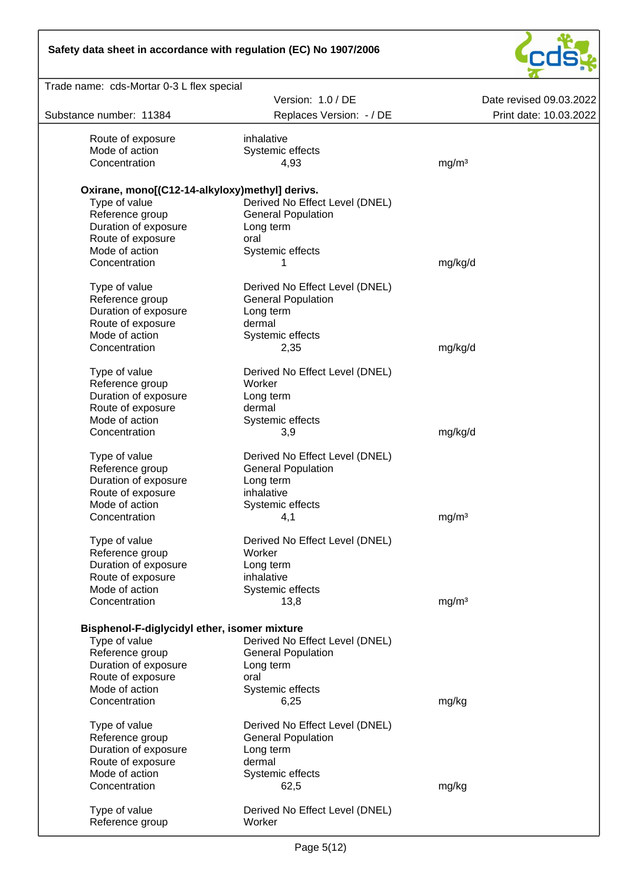# **Safety data sheet in accordance with regulation (EC) No 1907/2006**



| Trade name: cds-Mortar 0-3 L flex special      |                                |                         |
|------------------------------------------------|--------------------------------|-------------------------|
|                                                | Version: 1.0 / DE              | Date revised 09.03.2022 |
| Substance number: 11384                        | Replaces Version: - / DE       | Print date: 10.03.2022  |
| Route of exposure                              | inhalative                     |                         |
| Mode of action                                 | Systemic effects               |                         |
| Concentration                                  |                                |                         |
|                                                | 4,93                           | mg/m <sup>3</sup>       |
| Oxirane, mono[(C12-14-alkyloxy)methyl] derivs. |                                |                         |
| Type of value                                  | Derived No Effect Level (DNEL) |                         |
| Reference group                                | <b>General Population</b>      |                         |
| Duration of exposure                           | Long term                      |                         |
| Route of exposure                              | oral                           |                         |
| Mode of action                                 | Systemic effects               |                         |
| Concentration                                  |                                |                         |
|                                                | 1                              | mg/kg/d                 |
| Type of value                                  | Derived No Effect Level (DNEL) |                         |
| Reference group                                | <b>General Population</b>      |                         |
| Duration of exposure                           | Long term                      |                         |
| Route of exposure                              | dermal                         |                         |
| Mode of action                                 | Systemic effects               |                         |
| Concentration                                  | 2,35                           | mg/kg/d                 |
|                                                |                                |                         |
| Type of value                                  | Derived No Effect Level (DNEL) |                         |
| Reference group                                | Worker                         |                         |
| Duration of exposure                           | Long term                      |                         |
| Route of exposure                              | dermal                         |                         |
| Mode of action                                 | Systemic effects               |                         |
| Concentration                                  | 3,9                            | mg/kg/d                 |
|                                                |                                |                         |
| Type of value                                  | Derived No Effect Level (DNEL) |                         |
| Reference group                                | <b>General Population</b>      |                         |
| Duration of exposure                           | Long term                      |                         |
| Route of exposure                              | inhalative                     |                         |
| Mode of action                                 | Systemic effects               |                         |
| Concentration                                  | 4,1                            | mg/m <sup>3</sup>       |
|                                                |                                |                         |
| Type of value                                  | Derived No Effect Level (DNEL) |                         |
| Reference group                                | Worker                         |                         |
| Duration of exposure                           | Long term                      |                         |
| Route of exposure                              | inhalative                     |                         |
| Mode of action                                 | Systemic effects               |                         |
| Concentration                                  | 13,8                           | mg/m <sup>3</sup>       |
|                                                |                                |                         |
| Bisphenol-F-diglycidyl ether, isomer mixture   |                                |                         |
| Type of value                                  | Derived No Effect Level (DNEL) |                         |
| Reference group                                | <b>General Population</b>      |                         |
| Duration of exposure                           | Long term                      |                         |
| Route of exposure                              | oral                           |                         |
| Mode of action                                 | Systemic effects               |                         |
| Concentration                                  | 6,25                           | mg/kg                   |
| Type of value                                  | Derived No Effect Level (DNEL) |                         |
| Reference group                                | <b>General Population</b>      |                         |
| Duration of exposure                           | Long term                      |                         |
| Route of exposure                              | dermal                         |                         |
| Mode of action                                 | Systemic effects               |                         |
| Concentration                                  | 62,5                           |                         |
|                                                |                                | mg/kg                   |
| Type of value                                  | Derived No Effect Level (DNEL) |                         |
| Reference group                                | Worker                         |                         |
|                                                |                                |                         |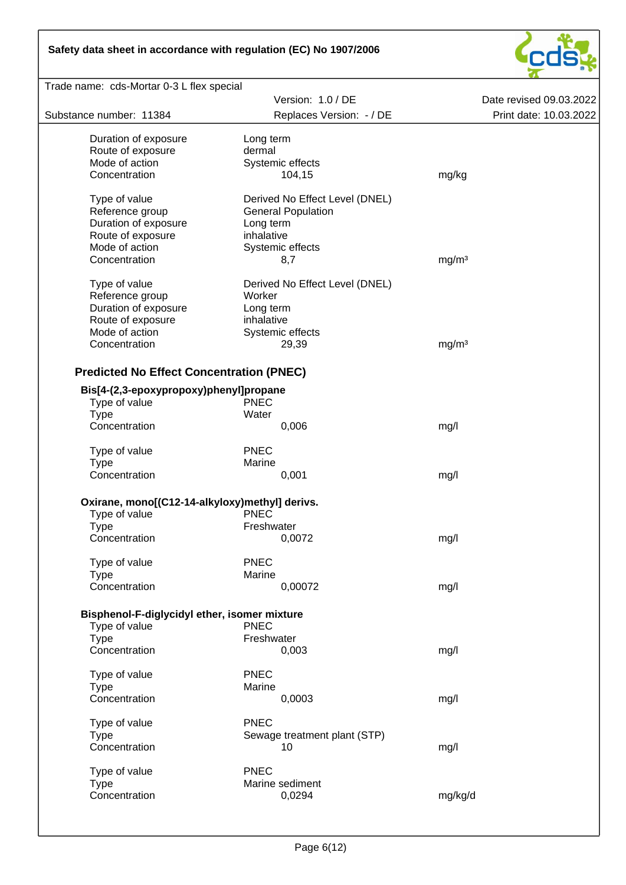# **Safety data sheet in accordance with regulation (EC) No 1907/2006**



| Trade name: cds-Mortar 0-3 L flex special       |                                |                         |
|-------------------------------------------------|--------------------------------|-------------------------|
|                                                 | Version: 1.0 / DE              | Date revised 09.03.2022 |
| Substance number: 11384                         | Replaces Version: - / DE       | Print date: 10.03.2022  |
|                                                 |                                |                         |
| Duration of exposure                            | Long term                      |                         |
| Route of exposure                               | dermal                         |                         |
| Mode of action                                  | Systemic effects               |                         |
| Concentration                                   | 104,15                         | mg/kg                   |
| Type of value                                   | Derived No Effect Level (DNEL) |                         |
| Reference group                                 | <b>General Population</b>      |                         |
| Duration of exposure                            | Long term                      |                         |
| Route of exposure                               | inhalative                     |                         |
| Mode of action                                  |                                |                         |
|                                                 | Systemic effects               |                         |
| Concentration                                   | 8,7                            | mg/m <sup>3</sup>       |
| Type of value                                   | Derived No Effect Level (DNEL) |                         |
| Reference group                                 | Worker                         |                         |
| Duration of exposure                            | Long term                      |                         |
| Route of exposure                               | inhalative                     |                         |
| Mode of action                                  | Systemic effects               |                         |
| Concentration                                   | 29,39                          | mg/m <sup>3</sup>       |
|                                                 |                                |                         |
| <b>Predicted No Effect Concentration (PNEC)</b> |                                |                         |
|                                                 |                                |                         |
| Bis[4-(2,3-epoxypropoxy)phenyl]propane          |                                |                         |
| Type of value                                   | <b>PNEC</b>                    |                         |
| <b>Type</b>                                     | Water                          |                         |
| Concentration                                   | 0,006                          | mg/l                    |
| Type of value                                   | <b>PNEC</b>                    |                         |
|                                                 | Marine                         |                         |
| Type<br>Concentration                           |                                |                         |
|                                                 | 0,001                          | mg/l                    |
| Oxirane, mono[(C12-14-alkyloxy)methyl] derivs.  |                                |                         |
|                                                 | <b>PNEC</b>                    |                         |
| Type of value                                   | Freshwater                     |                         |
| <b>Type</b>                                     |                                |                         |
| Concentration                                   | 0,0072                         | mg/l                    |
| Type of value                                   | <b>PNEC</b>                    |                         |
| <b>Type</b>                                     | Marine                         |                         |
| Concentration                                   | 0,00072                        | mg/l                    |
|                                                 |                                |                         |
| Bisphenol-F-diglycidyl ether, isomer mixture    |                                |                         |
| Type of value                                   | <b>PNEC</b>                    |                         |
| <b>Type</b>                                     | Freshwater                     |                         |
| Concentration                                   | 0,003                          | mg/l                    |
|                                                 |                                |                         |
| Type of value                                   | <b>PNEC</b>                    |                         |
| <b>Type</b>                                     | Marine                         |                         |
| Concentration                                   | 0,0003                         | mg/l                    |
| Type of value                                   | <b>PNEC</b>                    |                         |
|                                                 |                                |                         |
| <b>Type</b>                                     | Sewage treatment plant (STP)   |                         |
| Concentration                                   | 10                             | mg/l                    |
| Type of value                                   | <b>PNEC</b>                    |                         |
| <b>Type</b>                                     | Marine sediment                |                         |
| Concentration                                   | 0,0294                         | mg/kg/d                 |
|                                                 |                                |                         |
|                                                 |                                |                         |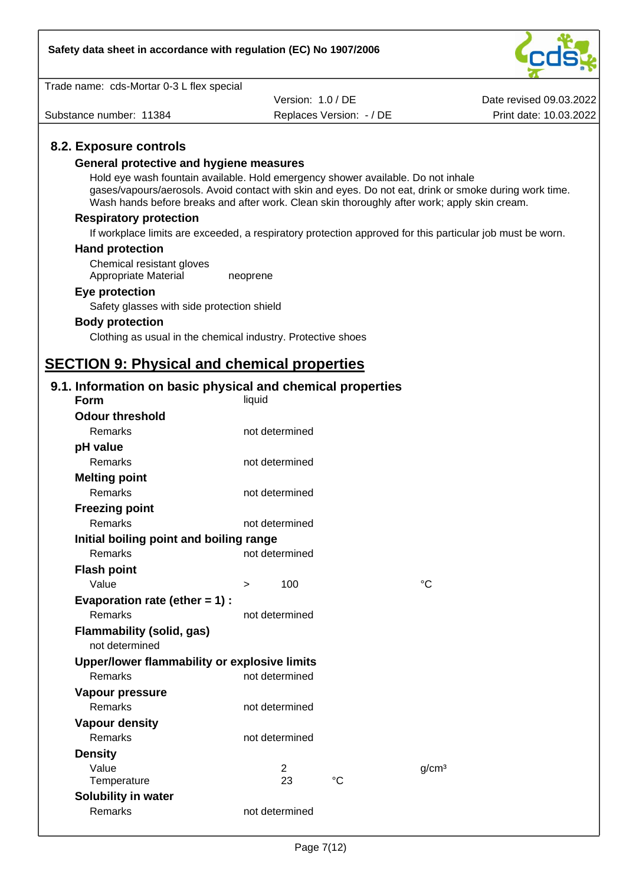

| Trade name: cds-Mortar 0-3 L flex special                                                    |                          |             |                                                                                                           |
|----------------------------------------------------------------------------------------------|--------------------------|-------------|-----------------------------------------------------------------------------------------------------------|
|                                                                                              | Version: 1.0 / DE        |             | Date revised 09.03.2022                                                                                   |
| Substance number: 11384                                                                      | Replaces Version: - / DE |             | Print date: 10.03.2022                                                                                    |
|                                                                                              |                          |             |                                                                                                           |
| 8.2. Exposure controls                                                                       |                          |             |                                                                                                           |
| General protective and hygiene measures                                                      |                          |             |                                                                                                           |
| Hold eye wash fountain available. Hold emergency shower available. Do not inhale             |                          |             |                                                                                                           |
| Wash hands before breaks and after work. Clean skin thoroughly after work; apply skin cream. |                          |             | gases/vapours/aerosols. Avoid contact with skin and eyes. Do not eat, drink or smoke during work time.    |
| <b>Respiratory protection</b>                                                                |                          |             |                                                                                                           |
|                                                                                              |                          |             | If workplace limits are exceeded, a respiratory protection approved for this particular job must be worn. |
| <b>Hand protection</b>                                                                       |                          |             |                                                                                                           |
| Chemical resistant gloves<br>Appropriate Material                                            | neoprene                 |             |                                                                                                           |
| Eye protection                                                                               |                          |             |                                                                                                           |
| Safety glasses with side protection shield                                                   |                          |             |                                                                                                           |
| <b>Body protection</b>                                                                       |                          |             |                                                                                                           |
| Clothing as usual in the chemical industry. Protective shoes                                 |                          |             |                                                                                                           |
|                                                                                              |                          |             |                                                                                                           |
| <b>SECTION 9: Physical and chemical properties</b>                                           |                          |             |                                                                                                           |
|                                                                                              |                          |             |                                                                                                           |
| 9.1. Information on basic physical and chemical properties<br><b>Form</b>                    | liquid                   |             |                                                                                                           |
| <b>Odour threshold</b>                                                                       |                          |             |                                                                                                           |
| Remarks                                                                                      | not determined           |             |                                                                                                           |
| pH value                                                                                     |                          |             |                                                                                                           |
| Remarks                                                                                      | not determined           |             |                                                                                                           |
| <b>Melting point</b>                                                                         |                          |             |                                                                                                           |
| <b>Remarks</b>                                                                               | not determined           |             |                                                                                                           |
| <b>Freezing point</b>                                                                        |                          |             |                                                                                                           |
| Remarks                                                                                      | not determined           |             |                                                                                                           |
| Initial boiling point and boiling range                                                      |                          |             |                                                                                                           |
| Remarks                                                                                      | not determined           |             |                                                                                                           |
| <b>Flash point</b>                                                                           |                          |             |                                                                                                           |
| Value                                                                                        | 100<br>>                 |             | $^{\circ}C$                                                                                               |
|                                                                                              |                          |             |                                                                                                           |
| Evaporation rate (ether $= 1$ ) :<br>Remarks                                                 | not determined           |             |                                                                                                           |
|                                                                                              |                          |             |                                                                                                           |
| <b>Flammability (solid, gas)</b><br>not determined                                           |                          |             |                                                                                                           |
| Upper/lower flammability or explosive limits                                                 |                          |             |                                                                                                           |
| Remarks                                                                                      | not determined           |             |                                                                                                           |
| Vapour pressure                                                                              |                          |             |                                                                                                           |
| Remarks                                                                                      | not determined           |             |                                                                                                           |
| <b>Vapour density</b>                                                                        |                          |             |                                                                                                           |
| Remarks                                                                                      | not determined           |             |                                                                                                           |
| <b>Density</b>                                                                               |                          |             |                                                                                                           |
| Value                                                                                        | $\overline{2}$           |             | g/cm <sup>3</sup>                                                                                         |
| Temperature                                                                                  | 23                       | $^{\circ}C$ |                                                                                                           |
| Solubility in water                                                                          |                          |             |                                                                                                           |
| Remarks                                                                                      | not determined           |             |                                                                                                           |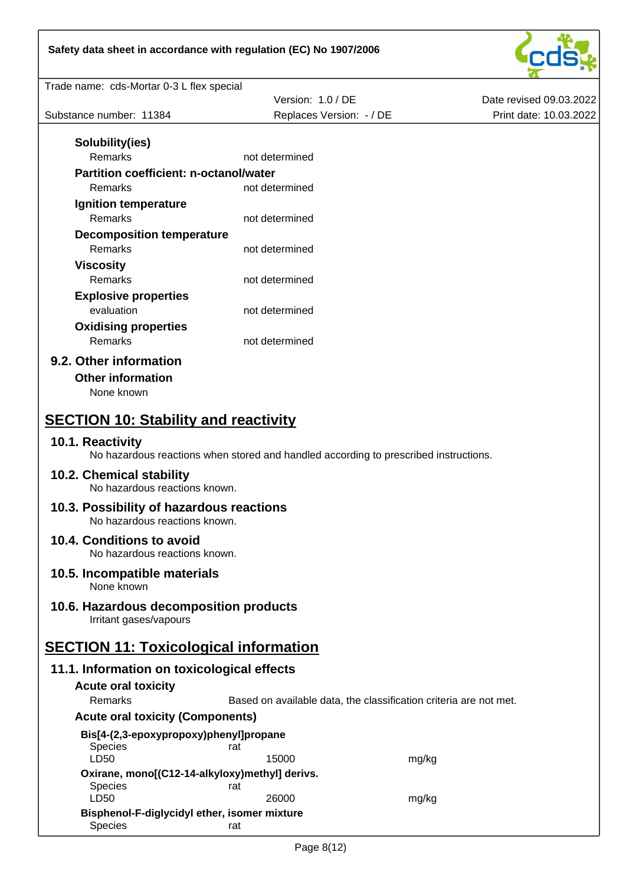

| Safety data sheet in accordance with regulation (EC) No 1907/2006         |                                                                                      |                         |
|---------------------------------------------------------------------------|--------------------------------------------------------------------------------------|-------------------------|
| Trade name: cds-Mortar 0-3 L flex special                                 |                                                                                      |                         |
|                                                                           | Version: 1.0 / DE                                                                    | Date revised 09.03.2022 |
| Substance number: 11384                                                   | Replaces Version: - / DE                                                             | Print date: 10.03.2022  |
|                                                                           |                                                                                      |                         |
| Solubility(ies)<br>Remarks                                                | not determined                                                                       |                         |
| Partition coefficient: n-octanol/water                                    |                                                                                      |                         |
| Remarks                                                                   | not determined                                                                       |                         |
| Ignition temperature                                                      |                                                                                      |                         |
| Remarks                                                                   | not determined                                                                       |                         |
| <b>Decomposition temperature</b>                                          |                                                                                      |                         |
| Remarks                                                                   | not determined                                                                       |                         |
| <b>Viscosity</b>                                                          |                                                                                      |                         |
| Remarks                                                                   | not determined                                                                       |                         |
| <b>Explosive properties</b>                                               |                                                                                      |                         |
| evaluation                                                                | not determined                                                                       |                         |
| <b>Oxidising properties</b>                                               |                                                                                      |                         |
| Remarks                                                                   | not determined                                                                       |                         |
| 9.2. Other information                                                    |                                                                                      |                         |
| <b>Other information</b>                                                  |                                                                                      |                         |
| None known                                                                |                                                                                      |                         |
|                                                                           |                                                                                      |                         |
| <b>SECTION 10: Stability and reactivity</b>                               |                                                                                      |                         |
| 10.1. Reactivity                                                          | No hazardous reactions when stored and handled according to prescribed instructions. |                         |
| 10.2. Chemical stability<br>No hazardous reactions known.                 |                                                                                      |                         |
| 10.3. Possibility of hazardous reactions<br>No hazardous reactions known. |                                                                                      |                         |
| 10.4. Conditions to avoid<br>No hazardous reactions known.                |                                                                                      |                         |
| 10.5. Incompatible materials<br>None known                                |                                                                                      |                         |
| 10.6. Hazardous decomposition products<br>Irritant gases/vapours          |                                                                                      |                         |
| <b>SECTION 11: Toxicological information</b>                              |                                                                                      |                         |
| 11.1. Information on toxicological effects                                |                                                                                      |                         |
| <b>Acute oral toxicity</b>                                                |                                                                                      |                         |
| Remarks                                                                   | Based on available data, the classification criteria are not met.                    |                         |
| <b>Acute oral toxicity (Components)</b>                                   |                                                                                      |                         |
|                                                                           |                                                                                      |                         |
| Bis[4-(2,3-epoxypropoxy)phenyl]propane<br><b>Species</b><br>LD50          | rat<br>15000                                                                         | mg/kg                   |
| Oxirane, mono[(C12-14-alkyloxy)methyl] derivs.                            |                                                                                      |                         |
| <b>Species</b>                                                            | rat                                                                                  |                         |
| LD50                                                                      | 26000                                                                                | mg/kg                   |
| Bisphenol-F-diglycidyl ether, isomer mixture                              |                                                                                      |                         |

isprienor - algryciay retrier, iso<br>
Species rat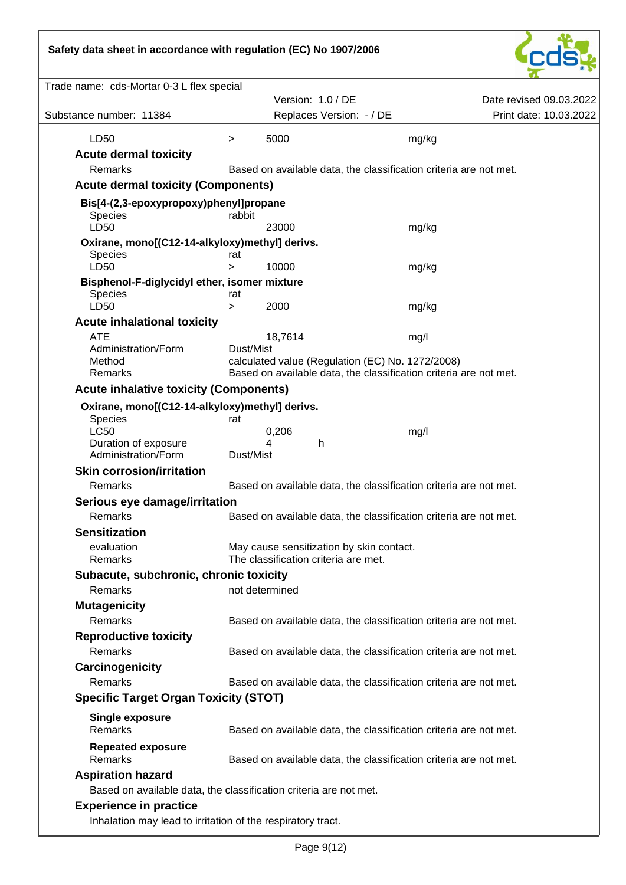# **Safety data sheet in accordance with regulation (EC) No 1907/2006**



| Trade name: cds-Mortar 0-3 L flex special                         |               |                                          |                                                                                                                       |                         |
|-------------------------------------------------------------------|---------------|------------------------------------------|-----------------------------------------------------------------------------------------------------------------------|-------------------------|
|                                                                   |               | Version: 1.0 / DE                        |                                                                                                                       | Date revised 09.03.2022 |
| Substance number: 11384                                           |               | Replaces Version: - / DE                 |                                                                                                                       | Print date: 10.03.2022  |
| LD50                                                              | >             | 5000                                     | mg/kg                                                                                                                 |                         |
| <b>Acute dermal toxicity</b>                                      |               |                                          |                                                                                                                       |                         |
| Remarks                                                           |               |                                          | Based on available data, the classification criteria are not met.                                                     |                         |
| <b>Acute dermal toxicity (Components)</b>                         |               |                                          |                                                                                                                       |                         |
| Bis[4-(2,3-epoxypropoxy)phenyl]propane<br><b>Species</b>          | rabbit        |                                          |                                                                                                                       |                         |
| LD50                                                              |               | 23000                                    | mg/kg                                                                                                                 |                         |
| Oxirane, mono[(C12-14-alkyloxy)methyl] derivs.                    |               |                                          |                                                                                                                       |                         |
| <b>Species</b><br>LD50                                            | rat<br>$\geq$ | 10000                                    | mg/kg                                                                                                                 |                         |
| Bisphenol-F-diglycidyl ether, isomer mixture                      |               |                                          |                                                                                                                       |                         |
| Species                                                           | rat           |                                          |                                                                                                                       |                         |
| LD50                                                              | $\geq$        | 2000                                     | mg/kg                                                                                                                 |                         |
| <b>Acute inhalational toxicity</b>                                |               |                                          |                                                                                                                       |                         |
| <b>ATE</b>                                                        |               | 18,7614                                  | mg/l                                                                                                                  |                         |
| Administration/Form                                               | Dust/Mist     |                                          |                                                                                                                       |                         |
| Method<br>Remarks                                                 |               |                                          | calculated value (Regulation (EC) No. 1272/2008)<br>Based on available data, the classification criteria are not met. |                         |
| <b>Acute inhalative toxicity (Components)</b>                     |               |                                          |                                                                                                                       |                         |
|                                                                   |               |                                          |                                                                                                                       |                         |
| Oxirane, mono[(C12-14-alkyloxy)methyl] derivs.<br>Species         | rat           |                                          |                                                                                                                       |                         |
| <b>LC50</b>                                                       |               | 0,206                                    | mg/l                                                                                                                  |                         |
| Duration of exposure<br>Administration/Form                       | Dust/Mist     | 4<br>$\mathsf{h}$                        |                                                                                                                       |                         |
| <b>Skin corrosion/irritation</b>                                  |               |                                          |                                                                                                                       |                         |
| Remarks                                                           |               |                                          | Based on available data, the classification criteria are not met.                                                     |                         |
| Serious eye damage/irritation                                     |               |                                          |                                                                                                                       |                         |
| Remarks                                                           |               |                                          | Based on available data, the classification criteria are not met.                                                     |                         |
| <b>Sensitization</b>                                              |               |                                          |                                                                                                                       |                         |
| evaluation                                                        |               | May cause sensitization by skin contact. |                                                                                                                       |                         |
| Remarks                                                           |               | The classification criteria are met.     |                                                                                                                       |                         |
| Subacute, subchronic, chronic toxicity                            |               |                                          |                                                                                                                       |                         |
| Remarks                                                           |               | not determined                           |                                                                                                                       |                         |
| <b>Mutagenicity</b>                                               |               |                                          |                                                                                                                       |                         |
| Remarks                                                           |               |                                          | Based on available data, the classification criteria are not met.                                                     |                         |
| <b>Reproductive toxicity</b>                                      |               |                                          |                                                                                                                       |                         |
| Remarks                                                           |               |                                          | Based on available data, the classification criteria are not met.                                                     |                         |
| Carcinogenicity                                                   |               |                                          |                                                                                                                       |                         |
| <b>Remarks</b>                                                    |               |                                          | Based on available data, the classification criteria are not met.                                                     |                         |
| <b>Specific Target Organ Toxicity (STOT)</b>                      |               |                                          |                                                                                                                       |                         |
| <b>Single exposure</b><br>Remarks                                 |               |                                          | Based on available data, the classification criteria are not met.                                                     |                         |
| <b>Repeated exposure</b><br>Remarks                               |               |                                          | Based on available data, the classification criteria are not met.                                                     |                         |
| <b>Aspiration hazard</b>                                          |               |                                          |                                                                                                                       |                         |
| Based on available data, the classification criteria are not met. |               |                                          |                                                                                                                       |                         |
| <b>Experience in practice</b>                                     |               |                                          |                                                                                                                       |                         |
| Inhalation may lead to irritation of the respiratory tract.       |               |                                          |                                                                                                                       |                         |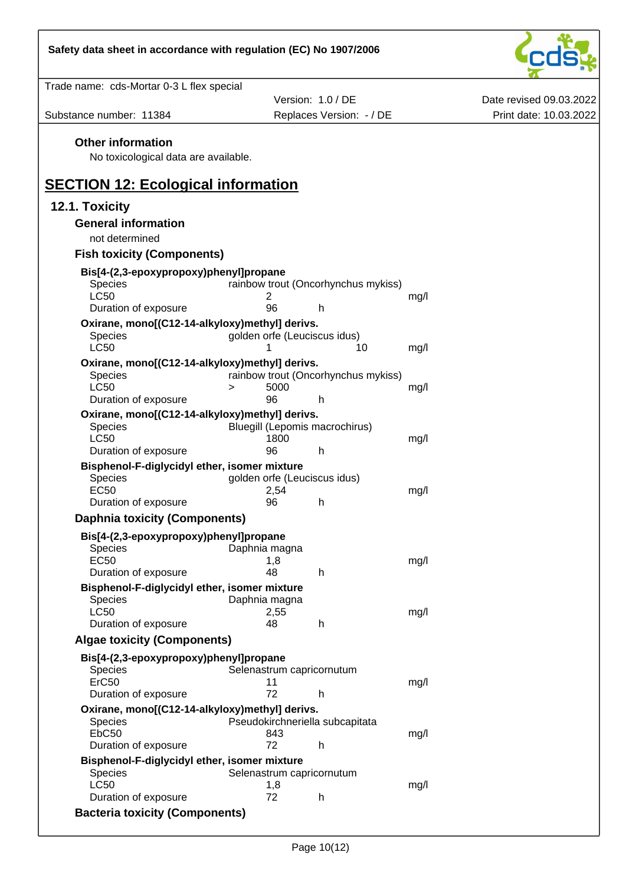

| Trade name: cds-Mortar 0-3 L flex special                              |                                                  |      |                         |
|------------------------------------------------------------------------|--------------------------------------------------|------|-------------------------|
|                                                                        | Version: 1.0 / DE                                |      | Date revised 09.03.2022 |
| Substance number: 11384                                                | Replaces Version: - / DE                         |      | Print date: 10.03.2022  |
| <b>Other information</b>                                               |                                                  |      |                         |
| No toxicological data are available.                                   |                                                  |      |                         |
|                                                                        |                                                  |      |                         |
| <b>SECTION 12: Ecological information</b>                              |                                                  |      |                         |
| 12.1. Toxicity                                                         |                                                  |      |                         |
| <b>General information</b>                                             |                                                  |      |                         |
| not determined                                                         |                                                  |      |                         |
| <b>Fish toxicity (Components)</b>                                      |                                                  |      |                         |
| Bis[4-(2,3-epoxypropoxy)phenyl]propane                                 |                                                  |      |                         |
| Species                                                                | rainbow trout (Oncorhynchus mykiss)              |      |                         |
| <b>LC50</b>                                                            | 2<br>96<br>h                                     | mg/l |                         |
| Duration of exposure<br>Oxirane, mono[(C12-14-alkyloxy)methyl] derivs. |                                                  |      |                         |
| Species                                                                | golden orfe (Leuciscus idus)                     |      |                         |
| <b>LC50</b>                                                            | 1<br>10                                          | mg/l |                         |
| Oxirane, mono[(C12-14-alkyloxy)methyl] derivs.                         |                                                  |      |                         |
| Species<br><b>LC50</b>                                                 | rainbow trout (Oncorhynchus mykiss)<br>5000<br>> | mg/l |                         |
| Duration of exposure                                                   | 96<br>h                                          |      |                         |
| Oxirane, mono[(C12-14-alkyloxy)methyl] derivs.                         |                                                  |      |                         |
| Species<br><b>LC50</b>                                                 | Bluegill (Lepomis macrochirus)                   |      |                         |
| Duration of exposure                                                   | 1800<br>96<br>h                                  | mg/l |                         |
| Bisphenol-F-diglycidyl ether, isomer mixture                           |                                                  |      |                         |
| <b>Species</b>                                                         | golden orfe (Leuciscus idus)                     |      |                         |
| <b>EC50</b><br>Duration of exposure                                    | 2,54<br>96<br>h                                  | mg/l |                         |
| <b>Daphnia toxicity (Components)</b>                                   |                                                  |      |                         |
| Bis[4-(2,3-epoxypropoxy)phenyl]propane                                 |                                                  |      |                         |
| Species                                                                | Daphnia magna                                    |      |                         |
| <b>EC50</b>                                                            | 1,8                                              | mg/l |                         |
| Duration of exposure                                                   | 48<br>h                                          |      |                         |
| Bisphenol-F-diglycidyl ether, isomer mixture<br>Species                | Daphnia magna                                    |      |                         |
| <b>LC50</b>                                                            | 2,55                                             | mg/l |                         |
| Duration of exposure                                                   | 48<br>h                                          |      |                         |
| <b>Algae toxicity (Components)</b>                                     |                                                  |      |                         |
| Bis[4-(2,3-epoxypropoxy)phenyl]propane                                 |                                                  |      |                         |
| <b>Species</b><br>ErC50                                                | Selenastrum capricornutum<br>11                  | mg/l |                         |
| Duration of exposure                                                   | 72<br>h                                          |      |                         |
| Oxirane, mono[(C12-14-alkyloxy)methyl] derivs.                         |                                                  |      |                         |
| <b>Species</b>                                                         | Pseudokirchneriella subcapitata                  |      |                         |
| EbC <sub>50</sub><br>Duration of exposure                              | 843<br>72<br>h                                   | mg/l |                         |
| Bisphenol-F-diglycidyl ether, isomer mixture                           |                                                  |      |                         |
| <b>Species</b>                                                         | Selenastrum capricornutum                        |      |                         |
| <b>LC50</b><br>Duration of exposure                                    | 1,8<br>72<br>h                                   | mg/l |                         |
| <b>Bacteria toxicity (Components)</b>                                  |                                                  |      |                         |
|                                                                        |                                                  |      |                         |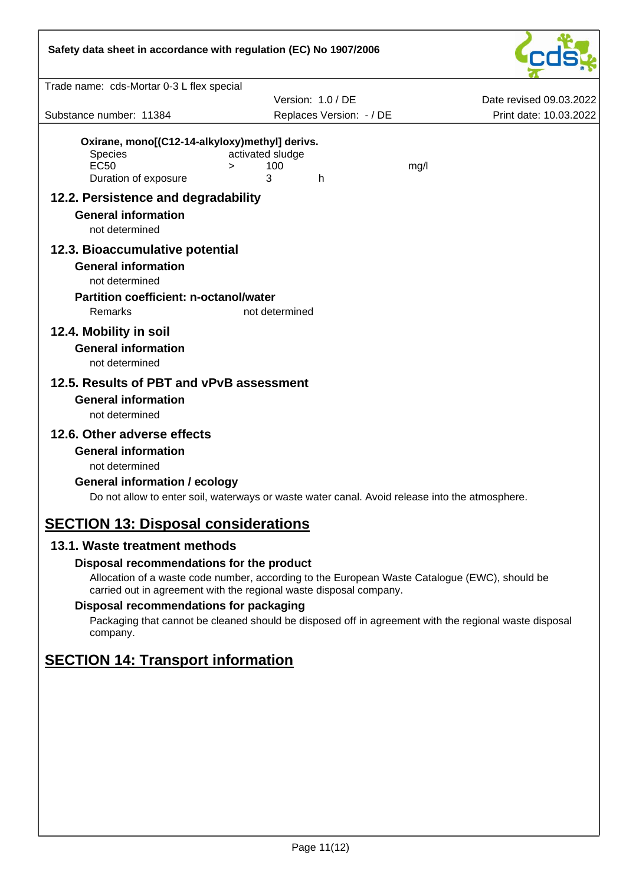| Safety data sheet in accordance with regulation (EC) No 1907/2006                                |                                                                                                |                         |
|--------------------------------------------------------------------------------------------------|------------------------------------------------------------------------------------------------|-------------------------|
| Trade name: cds-Mortar 0-3 L flex special                                                        |                                                                                                |                         |
|                                                                                                  | Version: 1.0 / DE                                                                              | Date revised 09.03.2022 |
| Substance number: 11384                                                                          | Replaces Version: - / DE                                                                       | Print date: 10.03.2022  |
| Oxirane, mono[(C12-14-alkyloxy)methyl] derivs.<br>Species<br><b>EC50</b><br>Duration of exposure | activated sludge<br>100<br>mg/l<br>$\geq$<br>3<br>h.                                           |                         |
| 12.2. Persistence and degradability                                                              |                                                                                                |                         |
| <b>General information</b><br>not determined                                                     |                                                                                                |                         |
| 12.3. Bioaccumulative potential                                                                  |                                                                                                |                         |
| <b>General information</b><br>not determined<br><b>Partition coefficient: n-octanol/water</b>    |                                                                                                |                         |
| Remarks                                                                                          | not determined                                                                                 |                         |
| 12.4. Mobility in soil<br><b>General information</b><br>not determined                           |                                                                                                |                         |
| 12.5. Results of PBT and vPvB assessment                                                         |                                                                                                |                         |
| <b>General information</b><br>not determined                                                     |                                                                                                |                         |
| 12.6. Other adverse effects                                                                      |                                                                                                |                         |
| <b>General information</b>                                                                       |                                                                                                |                         |
| not determined                                                                                   |                                                                                                |                         |
| <b>General information / ecology</b>                                                             | Do not allow to enter soil, waterways or waste water canal. Avoid release into the atmosphere. |                         |
| <b>SECTION 13: Disposal considerations</b>                                                       |                                                                                                |                         |

# **13.1. Waste treatment methods**

#### **Disposal recommendations for the product**

Allocation of a waste code number, according to the European Waste Catalogue (EWC), should be carried out in agreement with the regional waste disposal company.

#### **Disposal recommendations for packaging**

Packaging that cannot be cleaned should be disposed off in agreement with the regional waste disposal company.

# **SECTION 14: Transport information**